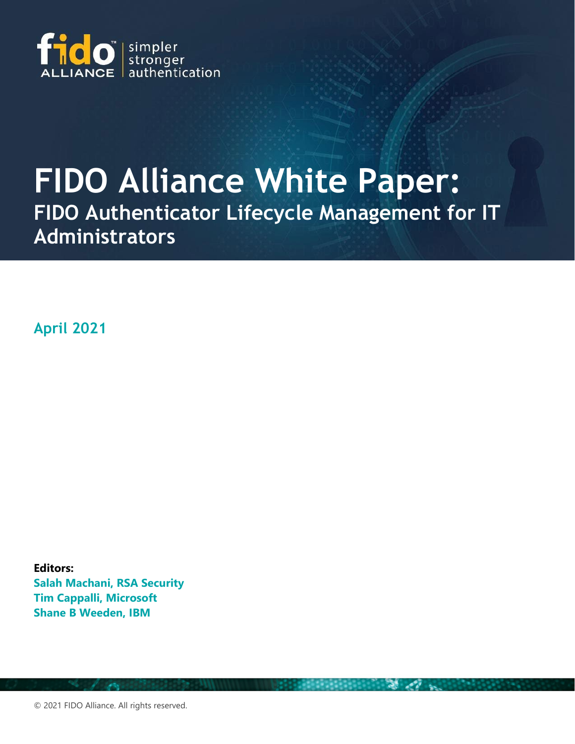

# **FIDO Alliance White Paper:**

**FIDO Authenticator Lifecycle Management for IT Administrators**

**April 2021**

**Editors: Salah Machani, RSA Security Tim Cappalli, Microsoft Shane B Weeden, IBM**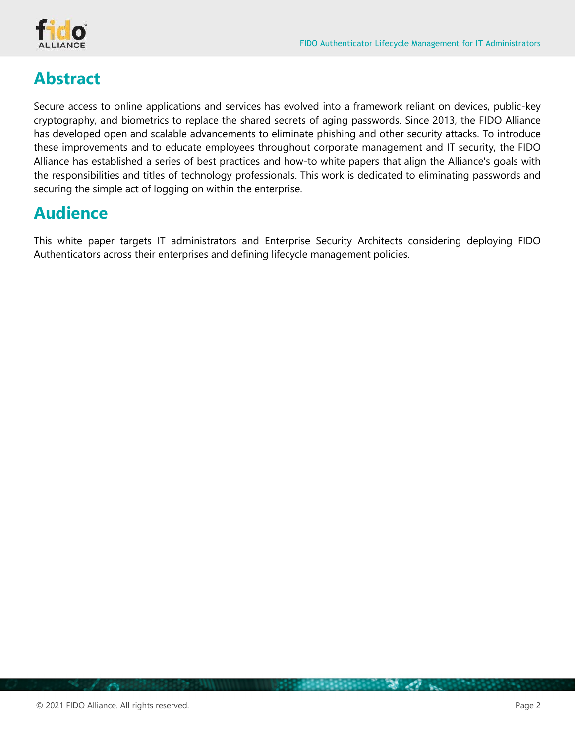

## **Abstract**

Secure access to online applications and services has evolved into a framework reliant on devices, public-key cryptography, and biometrics to replace the shared secrets of aging passwords. Since 2013, the FIDO Alliance has developed open and scalable advancements to eliminate phishing and other security attacks. To introduce these improvements and to educate employees throughout corporate management and IT security, the FIDO Alliance has established a series of best practices and how-to white papers that align the Alliance's goals with the responsibilities and titles of technology professionals. This work is dedicated to eliminating passwords and securing the simple act of logging on within the enterprise.

## **Audience**

This white paper targets IT administrators and Enterprise Security Architects considering deploying FIDO Authenticators across their enterprises and defining lifecycle management policies.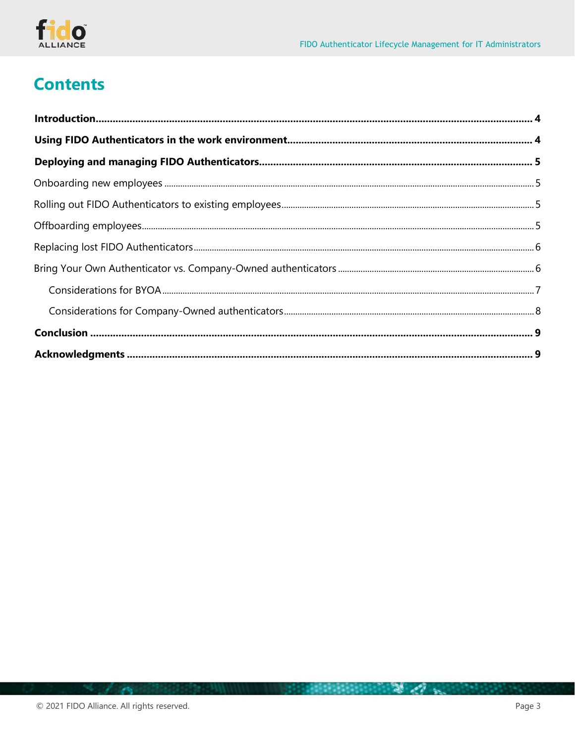

# **Contents**

医阴囊内脏出血管 人名英西德英国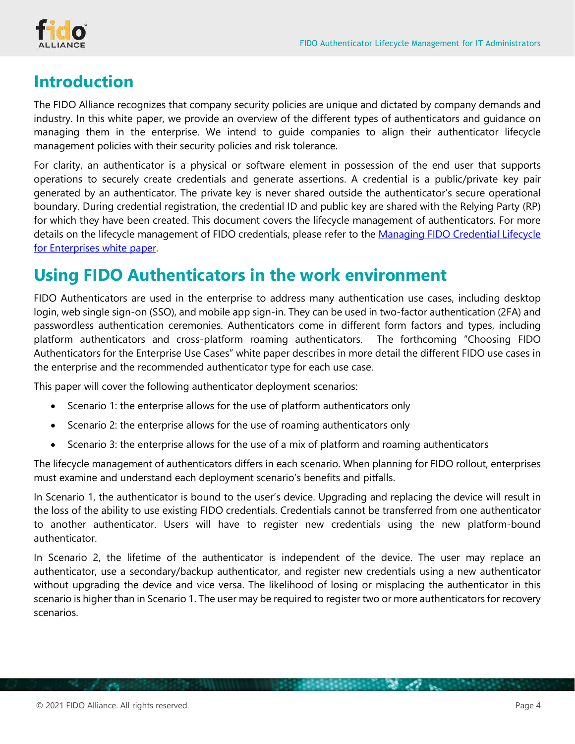

## <span id="page-3-0"></span>**Introduction**

The FIDO Alliance recognizes that company security policies are unique and dictated by company demands and industry. In this white paper, we provide an overview of the different types of authenticators and guidance on managing them in the enterprise. We intend to guide companies to align their authenticator lifecycle management policies with their security policies and risk tolerance.

For clarity, an authenticator is a physical or software element in possession of the end user that supports operations to securely create credentials and generate assertions. A credential is a public/private key pair generated by an authenticator. The private key is never shared outside the authenticator's secure operational boundary. During credential registration, the credential ID and public key are shared with the Relying Party (RP) for which they have been created. This document covers the lifecycle management of authenticators. For more details on the lifecycle management of FIDO credentials, please refer to the Managing FIDO Credential Lifecycle [for Enterprises white paper.](https://media.fidoalliance.org/wp-content/uploads/Enterprise_Adoption_Best_Practices_Lifecycle_FIDO_Alliance.pdf) 

## <span id="page-3-1"></span>**Using FIDO Authenticators in the work environment**

FIDO Authenticators are used in the enterprise to address many authentication use cases, including desktop login, web single sign-on (SSO), and mobile app sign-in. They can be used in two-factor authentication (2FA) and passwordless authentication ceremonies. Authenticators come in different form factors and types, including platform authenticators and cross-platform roaming authenticators. The forthcoming "Choosing FIDO Authenticators for the Enterprise Use Cases" white paper describes in more detail the different FIDO use cases in the enterprise and the recommended authenticator type for each use case.

This paper will cover the following authenticator deployment scenarios:

- Scenario 1: the enterprise allows for the use of platform authenticators only
- Scenario 2: the enterprise allows for the use of roaming authenticators only
- Scenario 3: the enterprise allows for the use of a mix of platform and roaming authenticators

The lifecycle management of authenticators differs in each scenario. When planning for FIDO rollout, enterprises must examine and understand each deployment scenario's benefits and pitfalls.

In Scenario 1, the authenticator is bound to the user's device. Upgrading and replacing the device will result in the loss of the ability to use existing FIDO credentials. Credentials cannot be transferred from one authenticator to another authenticator. Users will have to register new credentials using the new platform-bound authenticator.

In Scenario 2, the lifetime of the authenticator is independent of the device. The user may replace an authenticator, use a secondary/backup authenticator, and register new credentials using a new authenticator without upgrading the device and vice versa. The likelihood of losing or misplacing the authenticator in this scenario is higher than in Scenario 1. The user may be required to register two or more authenticators for recovery scenarios.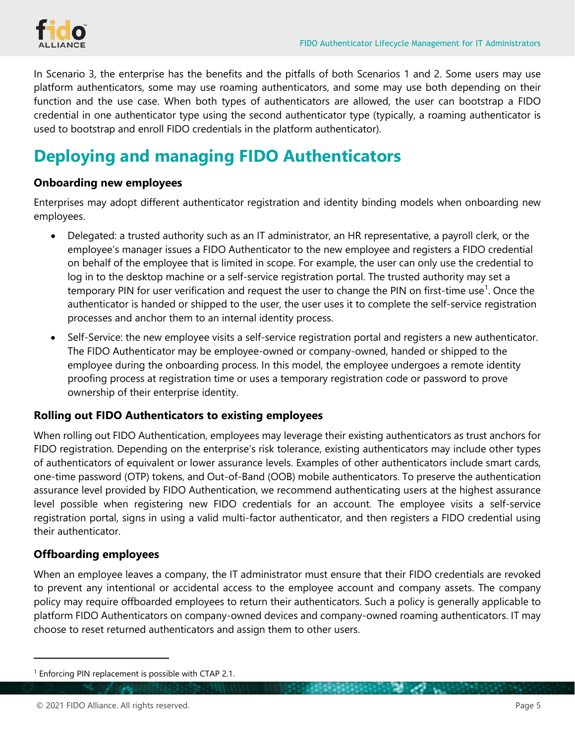

In Scenario 3, the enterprise has the benefits and the pitfalls of both Scenarios 1 and 2. Some users may use platform authenticators, some may use roaming authenticators, and some may use both depending on their function and the use case. When both types of authenticators are allowed, the user can bootstrap a FIDO credential in one authenticator type using the second authenticator type (typically, a roaming authenticator is used to bootstrap and enroll FIDO credentials in the platform authenticator).

# <span id="page-4-0"></span>**Deploying and managing FIDO Authenticators**

#### <span id="page-4-1"></span>**Onboarding new employees**

Enterprises may adopt different authenticator registration and identity binding models when onboarding new employees.

- Delegated: a trusted authority such as an IT administrator, an HR representative, a payroll clerk, or the employee's manager issues a FIDO Authenticator to the new employee and registers a FIDO credential on behalf of the employee that is limited in scope. For example, the user can only use the credential to log in to the desktop machine or a self-service registration portal. The trusted authority may set a temporary PIN for user verification and request the user to change the PIN on first-time use<sup>[1](#page-4-4)</sup>. Once the authenticator is handed or shipped to the user, the user uses it to complete the self-service registration processes and anchor them to an internal identity process.
- Self-Service: the new employee visits a self-service registration portal and registers a new authenticator. The FIDO Authenticator may be employee-owned or company-owned, handed or shipped to the employee during the onboarding process. In this model, the employee undergoes a remote identity proofing process at registration time or uses a temporary registration code or password to prove ownership of their enterprise identity.

#### <span id="page-4-2"></span>**Rolling out FIDO Authenticators to existing employees**

When rolling out FIDO Authentication, employees may leverage their existing authenticators as trust anchors for FIDO registration. Depending on the enterprise's risk tolerance, existing authenticators may include other types of authenticators of equivalent or lower assurance levels. Examples of other authenticators include smart cards, one-time password (OTP) tokens, and Out-of-Band (OOB) mobile authenticators. To preserve the authentication assurance level provided by FIDO Authentication, we recommend authenticating users at the highest assurance level possible when registering new FIDO credentials for an account. The employee visits a self-service registration portal, signs in using a valid multi-factor authenticator, and then registers a FIDO credential using their authenticator.

#### <span id="page-4-3"></span>**Offboarding employees**

When an employee leaves a company, the IT administrator must ensure that their FIDO credentials are revoked to prevent any intentional or accidental access to the employee account and company assets. The company policy may require offboarded employees to return their authenticators. Such a policy is generally applicable to platform FIDO Authenticators on company-owned devices and company-owned roaming authenticators. IT may choose to reset returned authenticators and assign them to other users.

<span id="page-4-4"></span><sup>&</sup>lt;sup>1</sup> Enforcing PIN replacement is possible with CTAP 2.1.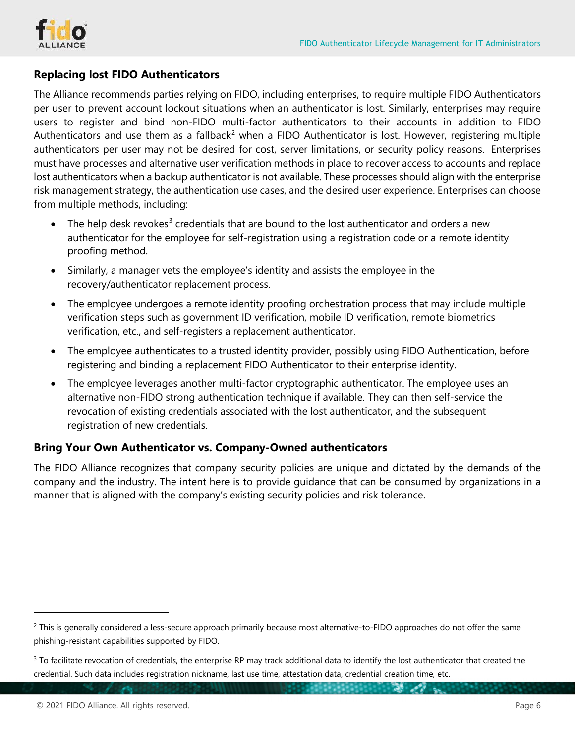

#### <span id="page-5-0"></span>**Replacing lost FIDO Authenticators**

The Alliance recommends parties relying on FIDO, including enterprises, to require multiple FIDO Authenticators per user to prevent account lockout situations when an authenticator is lost. Similarly, enterprises may require users to register and bind non-FIDO multi-factor authenticators to their accounts in addition to FIDO Authenticators and use them as a fallback<sup>[2](#page-5-2)</sup> when a FIDO Authenticator is lost. However, registering multiple authenticators per user may not be desired for cost, server limitations, or security policy reasons. Enterprises must have processes and alternative user verification methods in place to recover access to accounts and replace lost authenticators when a backup authenticator is not available. These processes should align with the enterprise risk management strategy, the authentication use cases, and the desired user experience. Enterprises can choose from multiple methods, including:

- The help desk revokes<sup>[3](#page-5-3)</sup> credentials that are bound to the lost authenticator and orders a new authenticator for the employee for self-registration using a registration code or a remote identity proofing method.
- Similarly, a manager vets the employee's identity and assists the employee in the recovery/authenticator replacement process.
- The employee undergoes a remote identity proofing orchestration process that may include multiple verification steps such as government ID verification, mobile ID verification, remote biometrics verification, etc., and self-registers a replacement authenticator.
- The employee authenticates to a trusted identity provider, possibly using FIDO Authentication, before registering and binding a replacement FIDO Authenticator to their enterprise identity.
- The employee leverages another multi-factor cryptographic authenticator. The employee uses an alternative non-FIDO strong authentication technique if available. They can then self-service the revocation of existing credentials associated with the lost authenticator, and the subsequent registration of new credentials.

#### <span id="page-5-1"></span>**Bring Your Own Authenticator vs. Company-Owned authenticators**

The FIDO Alliance recognizes that company security policies are unique and dictated by the demands of the company and the industry. The intent here is to provide guidance that can be consumed by organizations in a manner that is aligned with the company's existing security policies and risk tolerance.

<span id="page-5-2"></span><sup>&</sup>lt;sup>2</sup> This is generally considered a less-secure approach primarily because most alternative-to-FIDO approaches do not offer the same phishing-resistant capabilities supported by FIDO.

<span id="page-5-3"></span><sup>&</sup>lt;sup>3</sup> To facilitate revocation of credentials, the enterprise RP may track additional data to identify the lost authenticator that created the credential. Such data includes registration nickname, last use time, attestation data, credential creation time, etc.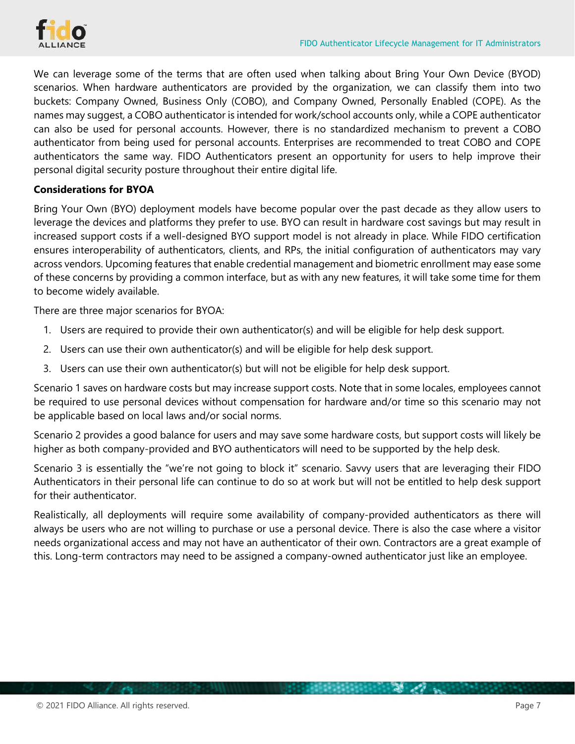

We can leverage some of the terms that are often used when talking about Bring Your Own Device (BYOD) scenarios. When hardware authenticators are provided by the organization, we can classify them into two buckets: Company Owned, Business Only (COBO), and Company Owned, Personally Enabled (COPE). As the names may suggest, a COBO authenticator is intended for work/school accounts only, while a COPE authenticator can also be used for personal accounts. However, there is no standardized mechanism to prevent a COBO authenticator from being used for personal accounts. Enterprises are recommended to treat COBO and COPE authenticators the same way. FIDO Authenticators present an opportunity for users to help improve their personal digital security posture throughout their entire digital life.

#### <span id="page-6-0"></span>**Considerations for BYOA**

Bring Your Own (BYO) deployment models have become popular over the past decade as they allow users to leverage the devices and platforms they prefer to use. BYO can result in hardware cost savings but may result in increased support costs if a well-designed BYO support model is not already in place. While FIDO certification ensures interoperability of authenticators, clients, and RPs, the initial configuration of authenticators may vary across vendors. Upcoming features that enable credential management and biometric enrollment may ease some of these concerns by providing a common interface, but as with any new features, it will take some time for them to become widely available.

There are three major scenarios for BYOA:

- 1. Users are required to provide their own authenticator(s) and will be eligible for help desk support.
- 2. Users can use their own authenticator(s) and will be eligible for help desk support.
- 3. Users can use their own authenticator(s) but will not be eligible for help desk support.

Scenario 1 saves on hardware costs but may increase support costs. Note that in some locales, employees cannot be required to use personal devices without compensation for hardware and/or time so this scenario may not be applicable based on local laws and/or social norms.

Scenario 2 provides a good balance for users and may save some hardware costs, but support costs will likely be higher as both company-provided and BYO authenticators will need to be supported by the help desk.

Scenario 3 is essentially the "we're not going to block it" scenario. Savvy users that are leveraging their FIDO Authenticators in their personal life can continue to do so at work but will not be entitled to help desk support for their authenticator.

Realistically, all deployments will require some availability of company-provided authenticators as there will always be users who are not willing to purchase or use a personal device. There is also the case where a visitor needs organizational access and may not have an authenticator of their own. Contractors are a great example of this. Long-term contractors may need to be assigned a company-owned authenticator just like an employee.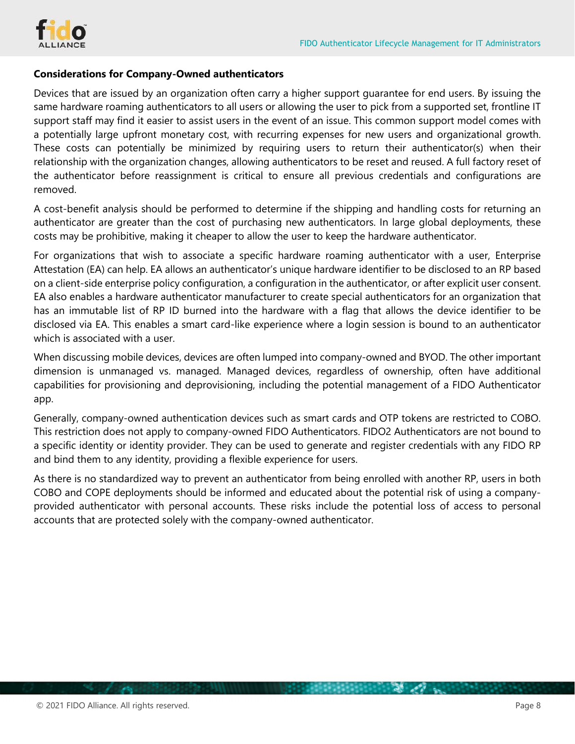

#### <span id="page-7-0"></span>**Considerations for Company-Owned authenticators**

Devices that are issued by an organization often carry a higher support guarantee for end users. By issuing the same hardware roaming authenticators to all users or allowing the user to pick from a supported set, frontline IT support staff may find it easier to assist users in the event of an issue. This common support model comes with a potentially large upfront monetary cost, with recurring expenses for new users and organizational growth. These costs can potentially be minimized by requiring users to return their authenticator(s) when their relationship with the organization changes, allowing authenticators to be reset and reused. A full factory reset of the authenticator before reassignment is critical to ensure all previous credentials and configurations are removed.

A cost-benefit analysis should be performed to determine if the shipping and handling costs for returning an authenticator are greater than the cost of purchasing new authenticators. In large global deployments, these costs may be prohibitive, making it cheaper to allow the user to keep the hardware authenticator.

For organizations that wish to associate a specific hardware roaming authenticator with a user, Enterprise Attestation (EA) can help. EA allows an authenticator's unique hardware identifier to be disclosed to an RP based on a client-side enterprise policy configuration, a configuration in the authenticator, or after explicit user consent. EA also enables a hardware authenticator manufacturer to create special authenticators for an organization that has an immutable list of RP ID burned into the hardware with a flag that allows the device identifier to be disclosed via EA. This enables a smart card-like experience where a login session is bound to an authenticator which is associated with a user.

When discussing mobile devices, devices are often lumped into company-owned and BYOD. The other important dimension is unmanaged vs. managed. Managed devices, regardless of ownership, often have additional capabilities for provisioning and deprovisioning, including the potential management of a FIDO Authenticator app.

Generally, company-owned authentication devices such as smart cards and OTP tokens are restricted to COBO. This restriction does not apply to company-owned FIDO Authenticators. FIDO2 Authenticators are not bound to a specific identity or identity provider. They can be used to generate and register credentials with any FIDO RP and bind them to any identity, providing a flexible experience for users.

As there is no standardized way to prevent an authenticator from being enrolled with another RP, users in both COBO and COPE deployments should be informed and educated about the potential risk of using a companyprovided authenticator with personal accounts. These risks include the potential loss of access to personal accounts that are protected solely with the company-owned authenticator.